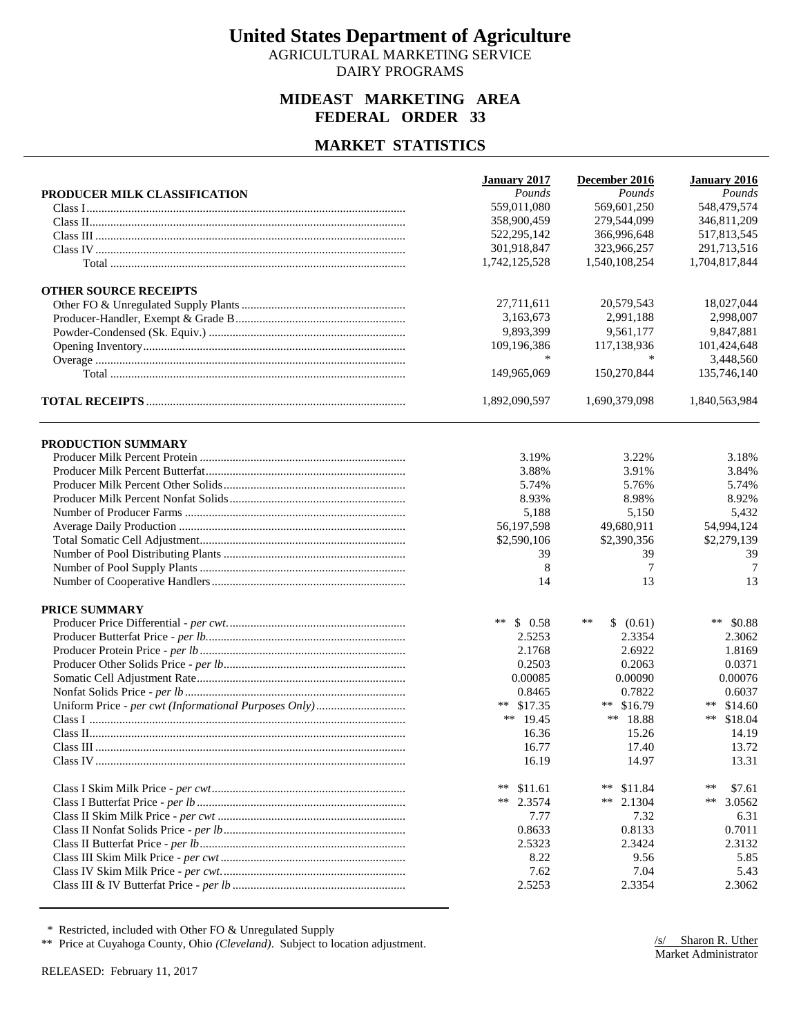AGRICULTURAL MARKETING SERVICE DAIRY PROGRAMS

### **MIDEAST MARKETING AREA FEDERAL ORDER 33**

### **MARKET STATISTICS**

|                              | January 2017     | December 2016           | January 2016    |
|------------------------------|------------------|-------------------------|-----------------|
| PRODUCER MILK CLASSIFICATION | Pounds           | Pounds                  | Pounds          |
|                              | 559,011,080      | 569,601,250             | 548,479,574     |
|                              | 358,900,459      | 279,544,099             | 346,811,209     |
|                              | 522, 295, 142    | 366,996,648             | 517,813,545     |
|                              | 301,918,847      | 323,966,257             | 291,713,516     |
|                              | 1,742,125,528    | 1,540,108,254           | 1,704,817,844   |
| <b>OTHER SOURCE RECEIPTS</b> |                  |                         |                 |
|                              | 27,711,611       | 20,579,543              | 18,027,044      |
|                              | 3,163,673        | 2.991.188               | 2,998,007       |
|                              | 9,893,399        | 9,561,177               | 9,847,881       |
|                              | 109,196,386      | 117,138,936             | 101,424,648     |
|                              | *                | $\ast$                  | 3,448,560       |
|                              | 149,965,069      | 150,270,844             | 135,746,140     |
|                              | 1,892,090,597    | 1,690,379,098           | 1,840,563,984   |
| PRODUCTION SUMMARY           |                  |                         |                 |
|                              | 3.19%            | 3.22%                   | 3.18%           |
|                              | 3.88%            | 3.91%                   | 3.84%           |
|                              | 5.74%            | 5.76%                   | 5.74%           |
|                              | 8.93%            | 8.98%                   | 8.92%           |
|                              | 5,188            | 5,150                   | 5,432           |
|                              | 56,197,598       | 49,680,911              | 54,994,124      |
|                              | \$2,590,106      | \$2,390,356             | \$2,279,139     |
|                              | 39               | 39                      | 39              |
|                              | 8                | 7                       | 7               |
|                              | 14               | 13                      | 13              |
| <b>PRICE SUMMARY</b>         |                  |                         |                 |
|                              | $***$<br>\$0.58  | $\ast\ast$<br>\$ (0.61) | ** $$0.88$      |
|                              | 2.5253           | 2.3354                  | 2.3062          |
|                              | 2.1768           | 2.6922                  | 1.8169          |
|                              | 0.2503           | 0.2063                  | 0.0371          |
|                              | 0.00085          | 0.00090                 | 0.00076         |
|                              | 0.8465           | 0.7822                  | 0.6037          |
|                              | ** $$17.35$      | \$16.79<br>**           | ** $$14.60$     |
|                              | ** $19.45$       | ** $18.88$              | ** $$18.04$     |
|                              | 16.36            | 15.26                   | 14.19           |
|                              | 16.77            | 17.40                   | 13.72           |
|                              | 16.19            | 14.97                   | 13.31           |
|                              | $***$<br>\$11.61 | $\ast\ast$<br>\$11.84   | $***$<br>\$7.61 |
|                              | **<br>2.3574     | **<br>2.1304            | $***$<br>3.0562 |
|                              | 7.77             | 7.32                    | 6.31            |
|                              | 0.8633           | 0.8133                  | 0.7011          |
|                              | 2.5323           | 2.3424                  | 2.3132          |
|                              | 8.22             | 9.56                    | 5.85            |
|                              | 7.62             | 7.04                    | 5.43            |
|                              | 2.5253           | 2.3354                  | 2.3062          |
|                              |                  |                         |                 |

\* Restricted, included with Other FO & Unregulated Supply

\*\* Price at Cuyahoga County, Ohio *(Cleveland)*. Subject to location adjustment.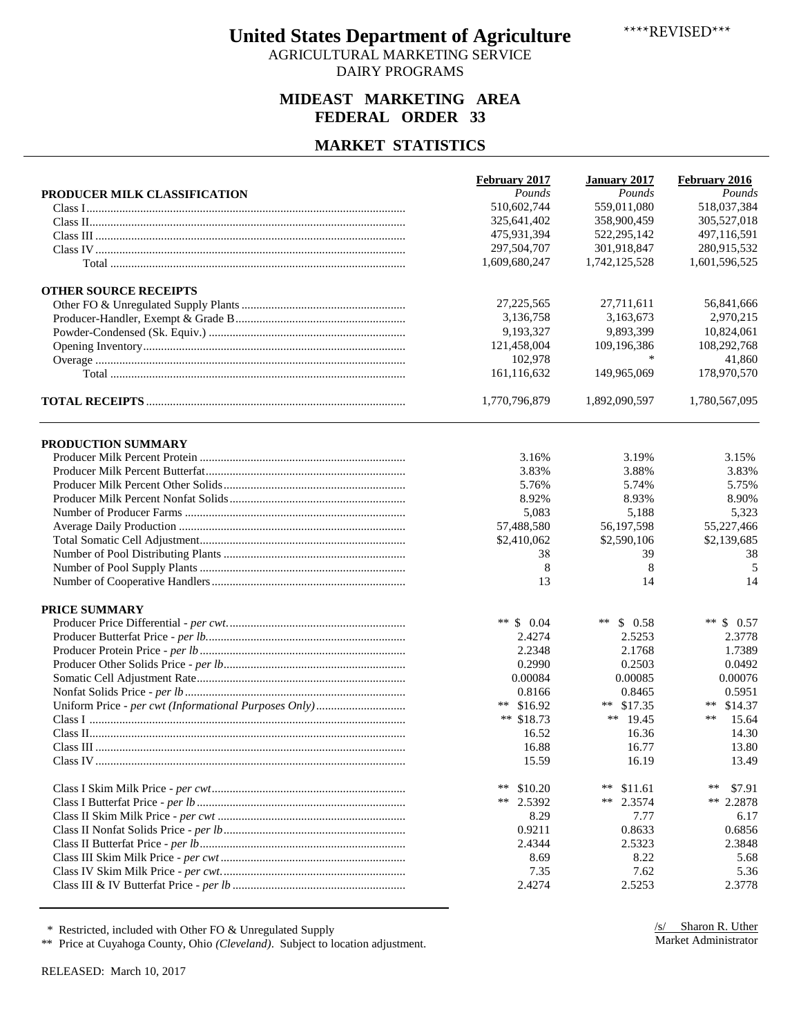AGRICULTURAL MARKETING SERVICE DAIRY PROGRAMS

### **MIDEAST MARKETING AREA FEDERAL ORDER 33**

### **MARKET STATISTICS**

|                              | February 2017 | <b>January 2017</b> | February 2016        |
|------------------------------|---------------|---------------------|----------------------|
| PRODUCER MILK CLASSIFICATION | Pounds        | Pounds              | Pounds               |
|                              | 510,602,744   | 559,011,080         | 518,037,384          |
|                              | 325,641,402   | 358,900,459         | 305,527,018          |
|                              | 475,931,394   | 522,295,142         | 497,116,591          |
|                              | 297,504,707   | 301,918,847         | 280,915,532          |
|                              | 1,609,680,247 | 1,742,125,528       | 1,601,596,525        |
| <b>OTHER SOURCE RECEIPTS</b> |               |                     |                      |
|                              | 27, 225, 565  | 27,711,611          | 56,841,666           |
|                              | 3,136,758     | 3,163,673           | 2,970,215            |
|                              | 9,193,327     | 9,893,399           | 10,824,061           |
|                              | 121,458,004   | 109,196,386         | 108,292,768          |
|                              | 102,978       | *                   | 41,860               |
|                              | 161,116,632   | 149,965,069         | 178,970,570          |
|                              | 1,770,796,879 | 1,892,090,597       | 1,780,567,095        |
| PRODUCTION SUMMARY           |               |                     |                      |
|                              | 3.16%         | 3.19%               | 3.15%                |
|                              | 3.83%         | 3.88%               | 3.83%                |
|                              | 5.76%         | 5.74%               | 5.75%                |
|                              | 8.92%         | 8.93%               | 8.90%                |
|                              | 5,083         | 5,188               | 5,323                |
|                              | 57,488,580    | 56,197,598          | 55,227,466           |
|                              | \$2,410,062   | \$2,590,106         | \$2,139,685          |
|                              | 38            | 39                  | 38                   |
|                              | 8             | 8                   | 5                    |
|                              | 13            | 14                  | 14                   |
| <b>PRICE SUMMARY</b>         |               |                     |                      |
|                              | ** $$0.04$    | ** $$0.58$          | ** $$0.57$           |
|                              | 2.4274        | 2.5253              | 2.3778               |
|                              | 2.2348        | 2.1768              | 1.7389               |
|                              | 0.2990        | 0.2503              | 0.0492               |
|                              | 0.00084       | 0.00085             | 0.00076              |
|                              | 0.8166        | 0.8465              | 0.5951               |
|                              | ** $$16.92$   | ** $$17.35$         | ** $$14.37$          |
|                              | ** $$18.73$   | ** $19.45$          | $***$<br>15.64       |
|                              | 16.52         | 16.36               | 14.30                |
|                              | 16.88         | 16.77               | 13.80                |
|                              | 15.59         | 16.19               | 13.49                |
|                              | **<br>\$10.20 | **<br>\$11.61       | $\ast\ast$<br>\$7.91 |
|                              | 2.5392<br>**  | 2.3574<br>**        | ** $2.2878$          |
|                              | 8.29          | 7.77                | 6.17                 |
|                              | 0.9211        | 0.8633              | 0.6856               |
|                              | 2.4344        | 2.5323              | 2.3848               |
|                              | 8.69          | 8.22                | 5.68                 |
|                              | 7.35          | 7.62                | 5.36                 |
|                              | 2.4274        | 2.5253              | 2.3778               |

\* Restricted, included with Other FO & Unregulated Supply

\*\* Price at Cuyahoga County, Ohio *(Cleveland)*. Subject to location adjustment.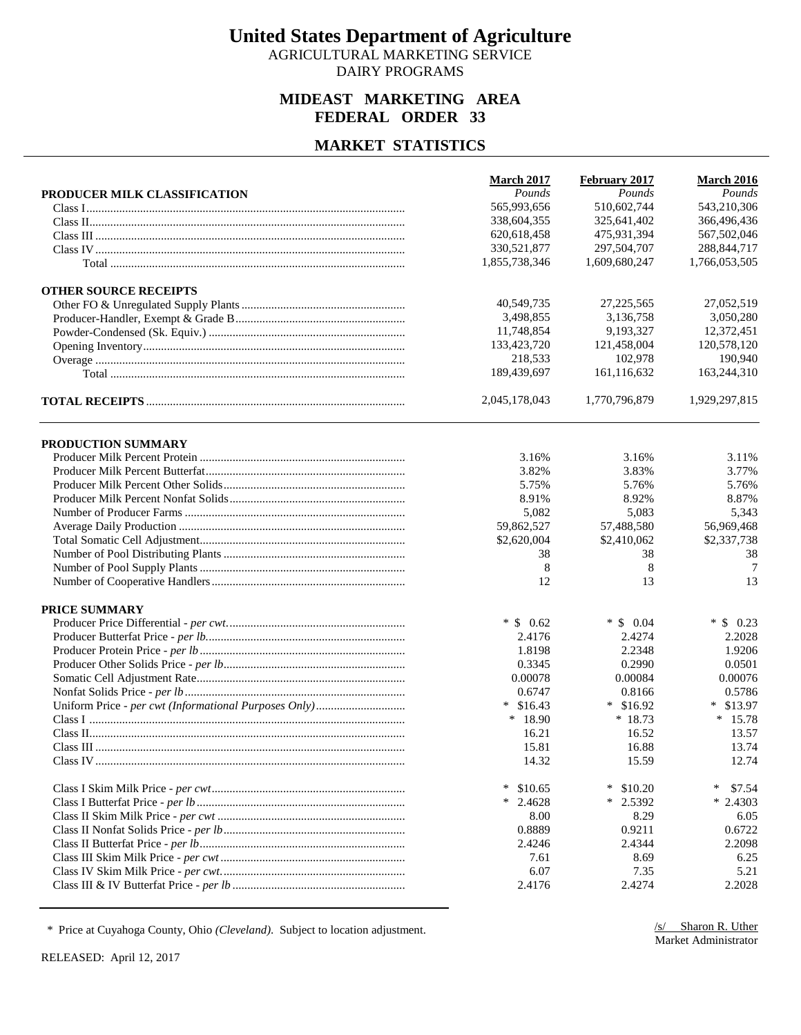AGRICULTURAL MARKETING SERVICE DAIRY PROGRAMS

### **MIDEAST MARKETING AREA FEDERAL ORDER 33**

### **MARKET STATISTICS**

|                              | <b>March 2017</b> | February 2017    | <b>March 2016</b> |
|------------------------------|-------------------|------------------|-------------------|
| PRODUCER MILK CLASSIFICATION | Pounds            | Pounds           | Pounds            |
|                              | 565,993,656       | 510,602,744      | 543,210,306       |
|                              | 338,604,355       | 325,641,402      | 366,496,436       |
|                              | 620,618,458       | 475,931,394      | 567,502,046       |
|                              | 330,521,877       | 297,504,707      | 288, 844, 717     |
|                              | 1,855,738,346     | 1,609,680,247    | 1,766,053,505     |
| <b>OTHER SOURCE RECEIPTS</b> |                   |                  |                   |
|                              | 40,549,735        | 27, 225, 565     | 27,052,519        |
|                              | 3,498,855         | 3,136,758        | 3,050,280         |
|                              | 11,748,854        | 9,193,327        | 12,372,451        |
|                              | 133,423,720       | 121,458,004      | 120,578,120       |
|                              | 218,533           | 102,978          | 190,940           |
|                              | 189,439,697       | 161,116,632      | 163,244,310       |
|                              | 2,045,178,043     | 1,770,796,879    | 1,929,297,815     |
| PRODUCTION SUMMARY           |                   |                  |                   |
|                              | 3.16%             | 3.16%            | 3.11%             |
|                              | 3.82%             | 3.83%            | 3.77%             |
|                              | 5.75%             | 5.76%            | 5.76%             |
|                              | 8.91%             | 8.92%            | 8.87%             |
|                              | 5,082             | 5,083            | 5,343             |
|                              | 59,862,527        | 57,488,580       | 56,969,468        |
|                              | \$2,620,004       | \$2,410,062      | \$2,337,738       |
|                              | 38                | 38               | 38                |
|                              | 8                 | 8                | 7                 |
|                              | 12                | 13               | 13                |
| <b>PRICE SUMMARY</b>         |                   |                  |                   |
|                              | $*$ \$ 0.62       | $*$ \$ 0.04      | $*$ \$ 0.23       |
|                              | 2.4176            | 2.4274           | 2.2028            |
|                              | 1.8198            | 2.2348           | 1.9206            |
|                              | 0.3345            | 0.2990           | 0.0501            |
|                              | 0.00078           | 0.00084          | 0.00076           |
|                              | 0.6747            | 0.8166           | 0.5786            |
|                              | $*$ \$16.43       | $*$ \$16.92      | $*$ \$13.97       |
|                              | $*18.90$          | $*18.73$         | $*15.78$          |
|                              | 16.21             | 16.52            | 13.57             |
|                              | 15.81             | 16.88            | 13.74             |
|                              | 14.32             | 15.59            | 12.74             |
|                              |                   |                  |                   |
|                              | $\ast$<br>\$10.65 | ∗<br>\$10.20     | ∗<br>\$7.54       |
|                              | $*$ 2.4628        | $\ast$<br>2.5392 | $*2.4303$         |
|                              | 8.00              | 8.29             | 6.05              |
|                              | 0.8889            | 0.9211           | 0.6722            |
|                              | 2.4246            | 2.4344           | 2.2098            |
|                              | 7.61              | 8.69             | 6.25              |
|                              | 6.07              | 7.35             | 5.21              |
|                              | 2.4176            | 2.4274           | 2.2028            |

\* Price at Cuyahoga County, Ohio *(Cleveland)*. Subject to location adjustment.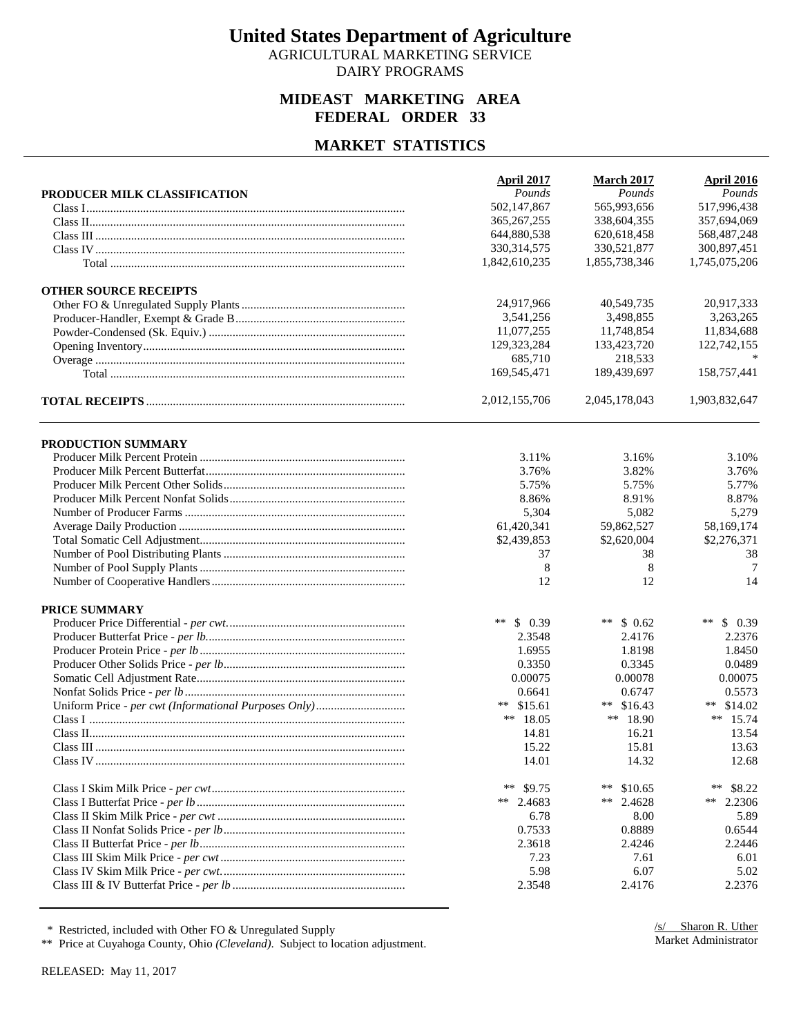AGRICULTURAL MARKETING SERVICE DAIRY PROGRAMS

### **MIDEAST MARKETING AREA FEDERAL ORDER 33**

#### **MARKET STATISTICS**

|                              | April 2017      | <b>March 2017</b> | <b>April 2016</b> |
|------------------------------|-----------------|-------------------|-------------------|
| PRODUCER MILK CLASSIFICATION | Pounds          | Pounds            | Pounds            |
|                              | 502,147,867     | 565,993,656       | 517,996,438       |
|                              | 365, 267, 255   | 338,604,355       | 357,694,069       |
|                              | 644,880,538     | 620,618,458       | 568, 487, 248     |
|                              | 330, 314, 575   | 330,521,877       | 300,897,451       |
|                              | 1,842,610,235   | 1,855,738,346     | 1,745,075,206     |
| <b>OTHER SOURCE RECEIPTS</b> |                 |                   |                   |
|                              | 24,917,966      | 40,549,735        | 20,917,333        |
|                              | 3.541.256       | 3,498,855         | 3,263,265         |
|                              | 11,077,255      | 11,748,854        | 11,834,688        |
|                              | 129,323,284     | 133,423,720       | 122,742,155       |
|                              | 685,710         | 218,533           |                   |
|                              | 169,545,471     | 189,439,697       | 158,757,441       |
|                              | 2,012,155,706   | 2,045,178,043     | 1,903,832,647     |
| PRODUCTION SUMMARY           |                 |                   |                   |
|                              | 3.11%           | 3.16%             | 3.10%             |
|                              | 3.76%           | 3.82%             | 3.76%             |
|                              | 5.75%           | 5.75%             | 5.77%             |
|                              | 8.86%           | 8.91%             | 8.87%             |
|                              | 5,304           | 5,082             | 5,279             |
|                              | 61,420,341      | 59,862,527        | 58,169,174        |
|                              | \$2,439,853     | \$2,620,004       | \$2,276,371       |
|                              | 37              | 38                | 38                |
|                              | 8               | 8                 | 7                 |
|                              | 12              | 12                | 14                |
|                              |                 |                   |                   |
| <b>PRICE SUMMARY</b>         |                 |                   |                   |
|                              | $***$<br>\$0.39 | **<br>\$0.62      | $***$<br>\$0.39   |
|                              | 2.3548          | 2.4176            | 2.2376            |
|                              | 1.6955          | 1.8198            | 1.8450            |
|                              | 0.3350          | 0.3345            | 0.0489            |
|                              | 0.00075         | 0.00078           | 0.00075           |
|                              | 0.6641          | 0.6747            | 0.5573            |
|                              | ** $$15.61$     | \$16.43<br>$***$  | ** $$14.02$       |
|                              | ** $18.05$      | ** $18.90$        | ** $15.74$        |
|                              | 14.81           | 16.21             | 13.54             |
|                              | 15.22           | 15.81             | 13.63             |
|                              | 14.01           | 14.32             | 12.68             |
|                              | $***$<br>\$9.75 | $***$<br>\$10.65  | $***$<br>\$8.22   |
|                              | ** 2.4683       | $***$<br>2.4628   | **<br>2.2306      |
|                              | 6.78            | 8.00              | 5.89              |
|                              | 0.7533          | 0.8889            | 0.6544            |
|                              | 2.3618          | 2.4246            | 2.2446            |
|                              | 7.23            | 7.61              | 6.01              |
|                              | 5.98            | 6.07              | 5.02              |
|                              | 2.3548          | 2.4176            | 2.2376            |

\* Restricted, included with Other FO & Unregulated Supply

\*\* Price at Cuyahoga County, Ohio *(Cleveland)*. Subject to location adjustment.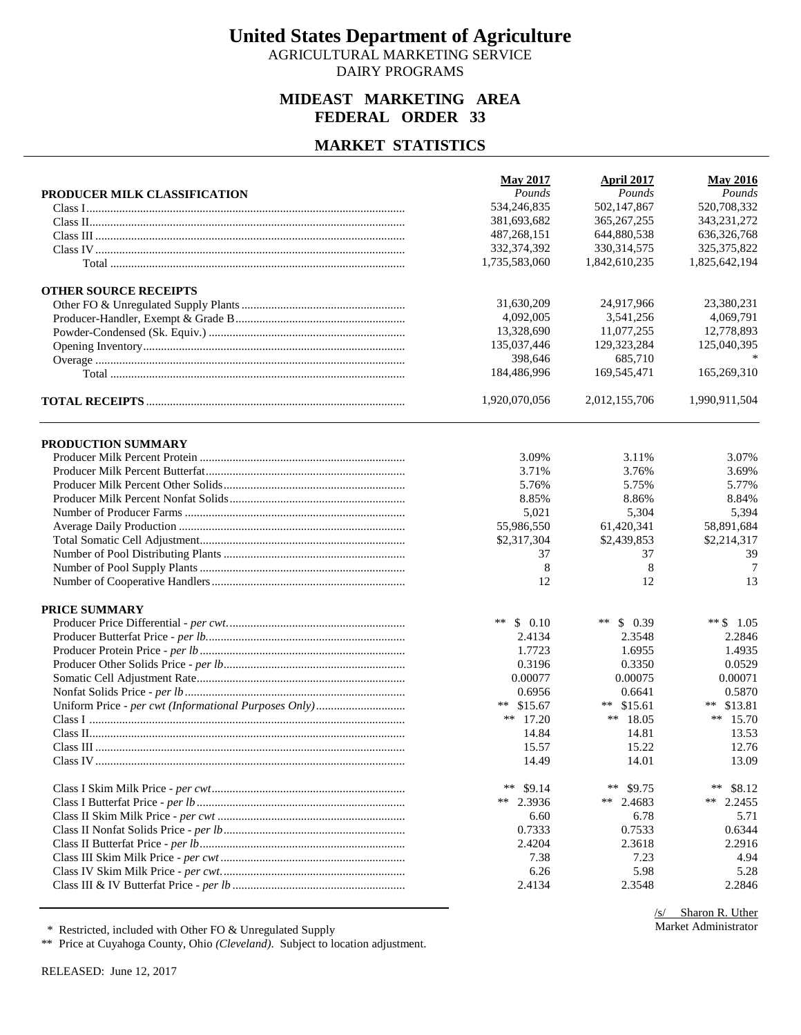AGRICULTURAL MARKETING SERVICE DAIRY PROGRAMS

### **MIDEAST MARKETING AREA FEDERAL ORDER 33**

### **MARKET STATISTICS**

|                              | <b>May 2017</b> | <b>April 2017</b> | <b>May 2016</b> |
|------------------------------|-----------------|-------------------|-----------------|
| PRODUCER MILK CLASSIFICATION | Pounds          | Pounds            | Pounds          |
|                              | 534,246,835     | 502,147,867       | 520,708,332     |
|                              | 381,693,682     | 365, 267, 255     | 343,231,272     |
|                              | 487,268,151     | 644,880,538       | 636,326,768     |
|                              | 332,374,392     | 330, 314, 575     | 325, 375, 822   |
|                              | 1,735,583,060   | 1,842,610,235     | 1,825,642,194   |
| <b>OTHER SOURCE RECEIPTS</b> |                 |                   |                 |
|                              | 31,630,209      | 24,917,966        | 23,380,231      |
|                              | 4,092,005       | 3,541,256         | 4,069,791       |
|                              | 13,328,690      | 11,077,255        | 12,778,893      |
|                              | 135,037,446     | 129,323,284       | 125,040,395     |
|                              | 398,646         | 685,710           |                 |
|                              | 184,486,996     | 169,545,471       | 165,269,310     |
|                              | 1,920,070,056   | 2,012,155,706     | 1,990,911,504   |
| PRODUCTION SUMMARY           |                 |                   |                 |
|                              | 3.09%           | 3.11%             | 3.07%           |
|                              | 3.71%           | 3.76%             | 3.69%           |
|                              | 5.76%           | 5.75%             | 5.77%           |
|                              | 8.85%           | 8.86%             | 8.84%           |
|                              | 5,021           | 5,304             | 5,394           |
|                              | 55,986,550      | 61,420,341        | 58,891,684      |
|                              | \$2,317,304     | \$2,439,853       | \$2,214,317     |
|                              | 37              | 37                | 39              |
|                              | 8               | 8                 | 7               |
|                              | 12              | 12                | 13              |
|                              |                 |                   |                 |
| <b>PRICE SUMMARY</b>         |                 |                   |                 |
|                              | **<br>\$0.10    | ** $\,$ 0.39      | ** $$1.05$      |
|                              | 2.4134          | 2.3548            | 2.2846          |
|                              | 1.7723          | 1.6955            | 1.4935          |
|                              | 0.3196          | 0.3350            | 0.0529          |
|                              | 0.00077         | 0.00075           | 0.00071         |
|                              | 0.6956          | 0.6641            | 0.5870          |
|                              | ** $$15.67$     | \$15.61<br>$***$  | ** \$13.81      |
|                              | ** $17.20$      | ** $18.05$        | ** $15.70$      |
|                              | 14.84           | 14.81             | 13.53           |
|                              | 15.57           | 15.22             | 12.76           |
|                              | 14.49           | 14.01             | 13.09           |
|                              | **<br>\$9.14    | **<br>\$9.75      | **<br>\$8.12    |
|                              | ** 2.3936       | ** 2.4683         | ** $2.2455$     |
|                              | 6.60            | 6.78              | 5.71            |
|                              | 0.7333          | 0.7533            | 0.6344          |
|                              | 2.4204          | 2.3618            | 2.2916          |
|                              | 7.38            | 7.23              | 4.94            |
|                              | 6.26            | 5.98              | 5.28            |
|                              | 2.4134          | 2.3548            | 2.2846          |

\* Restricted, included with Other FO & Unregulated Supply

\*\* Price at Cuyahoga County, Ohio *(Cleveland)*. Subject to location adjustment.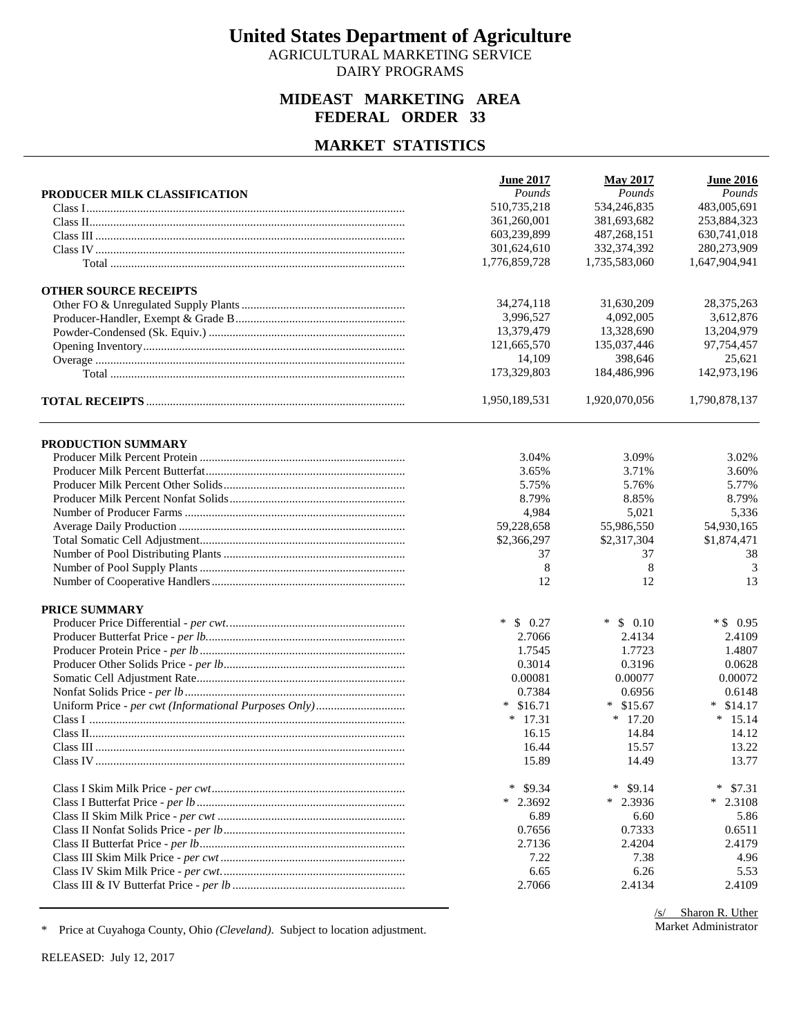AGRICULTURAL MARKETING SERVICE DAIRY PROGRAMS

### **MIDEAST MARKETING AREA FEDERAL ORDER 33**

## **MARKET STATISTICS**

|                              | <b>June 2017</b> | <b>May 2017</b> | <b>June 2016</b> |
|------------------------------|------------------|-----------------|------------------|
| PRODUCER MILK CLASSIFICATION | Pounds           | Pounds          | Pounds           |
|                              | 510,735,218      | 534,246,835     | 483,005,691      |
|                              | 361,260,001      | 381,693,682     | 253,884,323      |
|                              | 603,239,899      | 487,268,151     | 630,741,018      |
|                              | 301,624,610      | 332,374,392     | 280,273,909      |
|                              | 1,776,859,728    | 1,735,583,060   | 1,647,904,941    |
| <b>OTHER SOURCE RECEIPTS</b> |                  |                 |                  |
|                              | 34,274,118       | 31,630,209      | 28,375,263       |
|                              | 3,996,527        | 4,092,005       | 3,612,876        |
|                              | 13,379,479       | 13,328,690      | 13,204,979       |
|                              | 121,665,570      | 135,037,446     | 97,754,457       |
|                              | 14,109           | 398,646         | 25,621           |
|                              | 173,329,803      | 184,486,996     | 142,973,196      |
|                              | 1,950,189,531    | 1,920,070,056   | 1,790,878,137    |
| PRODUCTION SUMMARY           |                  |                 |                  |
|                              | 3.04%            | 3.09%           | 3.02%            |
|                              | 3.65%            | 3.71%           | 3.60%            |
|                              | 5.75%            | 5.76%           | 5.77%            |
|                              | 8.79%            | 8.85%           | 8.79%            |
|                              | 4,984            | 5,021           | 5,336            |
|                              | 59,228,658       | 55,986,550      | 54,930,165       |
|                              | \$2,366,297      | \$2,317,304     | \$1,874,471      |
|                              | 37               | 37              | 38               |
|                              | 8                | 8               | 3                |
|                              | 12               | 12              | 13               |
|                              |                  |                 |                  |
| <b>PRICE SUMMARY</b>         |                  |                 |                  |
|                              | $\ast$<br>\$0.27 | $*$ \$ 0.10     | $*$ \$ 0.95      |
|                              | 2.7066           | 2.4134          | 2.4109           |
|                              | 1.7545           | 1.7723          | 1.4807           |
|                              | 0.3014           | 0.3196          | 0.0628           |
|                              | 0.00081          | 0.00077         | 0.00072          |
|                              | 0.7384           | 0.6956          | 0.6148           |
|                              | $*$ \$16.71      | $*$ \$15.67     | \$14.17<br>∗     |
|                              | $*$ 17.31        | $*$ 17.20       | $* 15.14$        |
|                              | 16.15            | 14.84           | 14.12            |
|                              | 16.44            | 15.57           | 13.22            |
|                              | 15.89            | 14.49           | 13.77            |
|                              | \$9.34<br>∗      | ∗<br>\$9.14     | $\ast$<br>\$7.31 |
|                              | $*$ 2.3692       | $*$ 2.3936      | $*$ 2.3108       |
|                              | 6.89             | 6.60            | 5.86             |
|                              | 0.7656           | 0.7333          | 0.6511           |
|                              | 2.7136           | 2.4204          | 2.4179           |
|                              | 7.22             | 7.38            | 4.96             |
|                              | 6.65             | 6.26            | 5.53             |
|                              | 2.7066           | 2.4134          | 2.4109           |

\* Price at Cuyahoga County, Ohio *(Cleveland)*. Subject to location adjustment.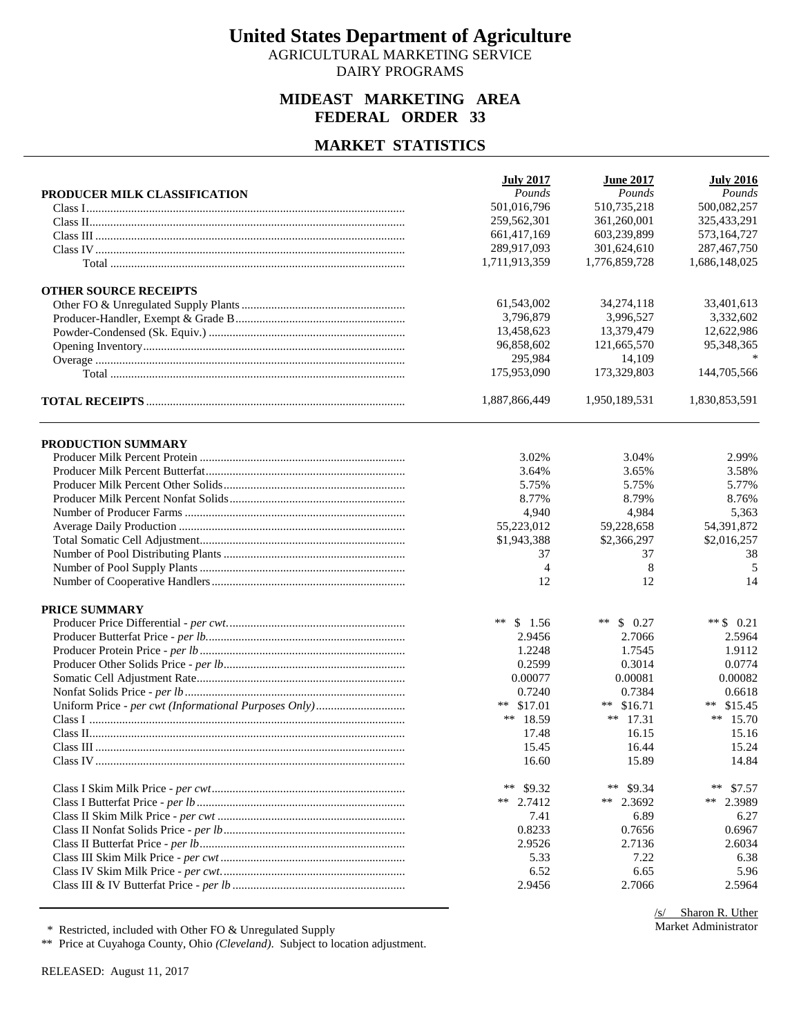AGRICULTURAL MARKETING SERVICE DAIRY PROGRAMS

### **MIDEAST MARKETING AREA FEDERAL ORDER 33**

#### **MARKET STATISTICS**

|                              | <b>July 2017</b>  | <b>June 2017</b> | <b>July 2016</b> |
|------------------------------|-------------------|------------------|------------------|
| PRODUCER MILK CLASSIFICATION | Pounds            | Pounds           | Pounds           |
|                              | 501,016,796       | 510,735,218      | 500,082,257      |
|                              | 259,562,301       | 361,260,001      | 325,433,291      |
|                              | 661,417,169       | 603,239,899      | 573,164,727      |
|                              | 289,917,093       | 301,624,610      | 287,467,750      |
|                              | 1,711,913,359     | 1,776,859,728    | 1,686,148,025    |
| <b>OTHER SOURCE RECEIPTS</b> |                   |                  |                  |
|                              | 61,543,002        | 34,274,118       | 33,401,613       |
|                              | 3,796,879         | 3,996,527        | 3,332,602        |
|                              | 13,458,623        | 13,379,479       | 12,622,986       |
|                              | 96,858,602        | 121,665,570      | 95,348,365       |
|                              | 295,984           | 14,109           |                  |
|                              | 175,953,090       | 173,329,803      | 144,705,566      |
|                              | 1,887,866,449     | 1,950,189,531    | 1,830,853,591    |
| PRODUCTION SUMMARY           |                   |                  |                  |
|                              | 3.02%             | 3.04%            | 2.99%            |
|                              | 3.64%             | 3.65%            | 3.58%            |
|                              | 5.75%             | 5.75%            | 5.77%            |
|                              | 8.77%             | 8.79%            | 8.76%            |
|                              | 4,940             | 4,984            | 5,363            |
|                              | 55,223,012        | 59,228,658       | 54,391,872       |
|                              |                   |                  |                  |
|                              | \$1,943,388<br>37 | \$2,366,297      | \$2,016,257      |
|                              |                   | 37               | 38               |
|                              | 4                 | 8                | 5                |
|                              | 12                | 12               | 14               |
| <b>PRICE SUMMARY</b>         |                   |                  |                  |
|                              | **<br>\$1.56      | ** $$0.27$       | ** $$0.21$       |
|                              | 2.9456            | 2.7066           | 2.5964           |
|                              | 1.2248            | 1.7545           | 1.9112           |
|                              | 0.2599            | 0.3014           | 0.0774           |
|                              | 0.00077           | 0.00081          | 0.00082          |
|                              | 0.7240            | 0.7384           | 0.6618           |
|                              | ** $$17.01$       | ** $$16.71$      | ** $$15.45$      |
|                              | ** 18.59          | ** $17.31$       | ** $15.70$       |
|                              | 17.48             | 16.15            | 15.16            |
|                              | 15.45             | 16.44            | 15.24            |
|                              | 16.60             | 15.89            | 14.84            |
|                              | **<br>\$9.32      | **<br>\$9.34     | **<br>\$7.57     |
|                              | ** $2.7412$       | ** 2.3692        | **<br>2.3989     |
|                              | 7.41              | 6.89             | 6.27             |
|                              | 0.8233            | 0.7656           | 0.6967           |
|                              | 2.9526            | 2.7136           | 2.6034           |
|                              | 5.33              | 7.22             | 6.38             |
|                              | 6.52              | 6.65             | 5.96             |
|                              | 2.9456            | 2.7066           | 2.5964           |
|                              |                   |                  |                  |

\* Restricted, included with Other FO & Unregulated Supply

\*\* Price at Cuyahoga County, Ohio *(Cleveland)*. Subject to location adjustment.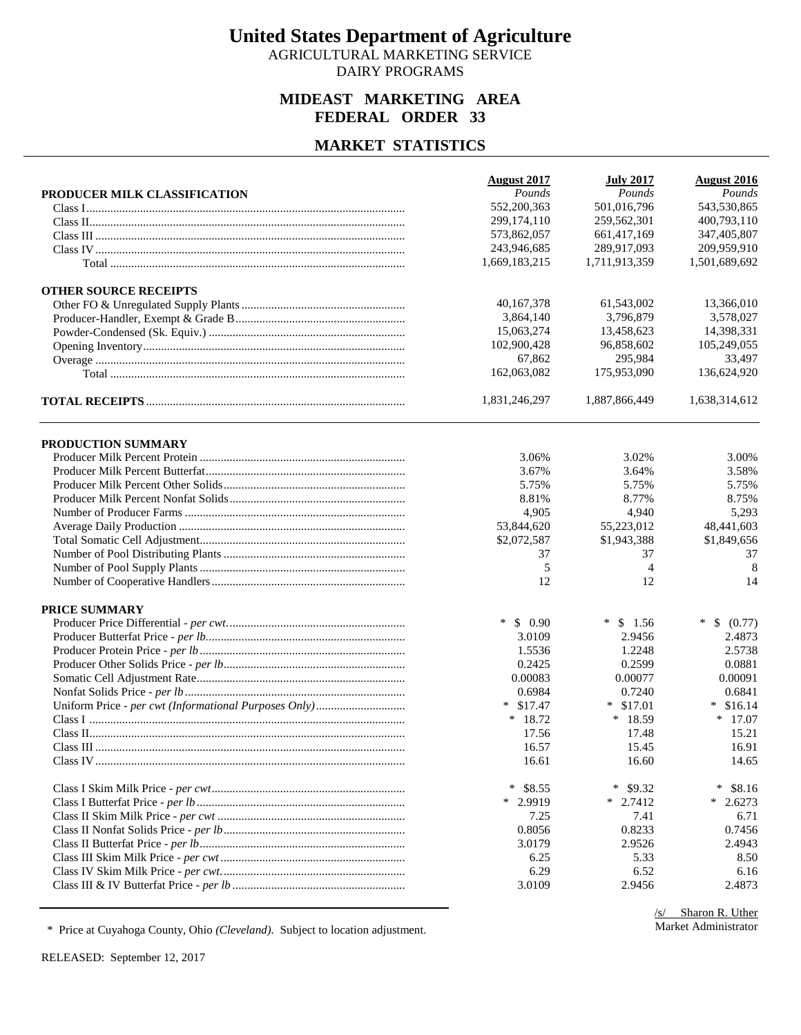AGRICULTURAL MARKETING SERVICE DAIRY PROGRAMS

### **MIDEAST MARKETING AREA FEDERAL ORDER 33**

#### **MARKET STATISTICS**

|                              | <b>August 2017</b> | <b>July 2017</b> | <b>August 2016</b>               |
|------------------------------|--------------------|------------------|----------------------------------|
| PRODUCER MILK CLASSIFICATION | Pounds             | Pounds           | Pounds                           |
|                              | 552,200,363        | 501,016,796      | 543,530,865                      |
|                              | 299,174,110        | 259,562,301      | 400,793,110                      |
|                              | 573,862,057        | 661,417,169      | 347,405,807                      |
|                              | 243,946,685        | 289,917,093      | 209,959,910                      |
|                              | 1,669,183,215      | 1,711,913,359    | 1,501,689,692                    |
| <b>OTHER SOURCE RECEIPTS</b> |                    |                  |                                  |
|                              | 40,167,378         | 61,543,002       | 13,366,010                       |
|                              | 3,864,140          | 3,796,879        | 3,578,027                        |
|                              | 15,063,274         | 13,458,623       | 14,398,331                       |
|                              | 102,900,428        | 96,858,602       | 105,249,055                      |
|                              | 67,862             | 295,984          | 33,497                           |
|                              | 162,063,082        | 175,953,090      | 136,624,920                      |
|                              | 1,831,246,297      | 1,887,866,449    | 1,638,314,612                    |
| PRODUCTION SUMMARY           |                    |                  |                                  |
|                              | 3.06%              | 3.02%            | 3.00%                            |
|                              | 3.67%              | 3.64%            | 3.58%                            |
|                              | 5.75%              | 5.75%            | 5.75%                            |
|                              | 8.81%              | 8.77%            | 8.75%                            |
|                              | 4,905              | 4,940            | 5,293                            |
|                              | 53,844,620         | 55,223,012       | 48,441,603                       |
|                              | \$2,072,587        | \$1,943,388      | \$1,849,656                      |
|                              | 37                 | 37               | 37                               |
|                              | 5                  | $\overline{4}$   | 8                                |
|                              | 12                 | 12               | 14                               |
| <b>PRICE SUMMARY</b>         |                    |                  |                                  |
|                              | $\ast$<br>\$0.90   | $\ast$<br>\$1.56 | $\ast$<br><sup>S</sup><br>(0.77) |
|                              | 3.0109             | 2.9456           | 2.4873                           |
|                              | 1.5536             | 1.2248           | 2.5738                           |
|                              | 0.2425             | 0.2599           | 0.0881                           |
|                              | 0.00083            | 0.00077          | 0.00091                          |
|                              | 0.6984             | 0.7240           | 0.6841                           |
|                              | $*$ \$17.47        | $*$ \$17.01      | \$16.14<br>∗                     |
|                              | $*18.72$           | $*18.59$         | $*$ 17.07                        |
|                              | 17.56              | 17.48            | 15.21                            |
|                              | 16.57              | 15.45            | 16.91                            |
|                              | 16.61              | 16.60            | 14.65                            |
|                              | \$8.55<br>∗        | ∗<br>\$9.32      | $\ast$<br>\$8.16                 |
|                              | $*$ 2.9919         | $*$ 2.7412       | $*$ 2.6273                       |
|                              | 7.25               | 7.41             | 6.71                             |
|                              | 0.8056             | 0.8233           | 0.7456                           |
|                              | 3.0179             | 2.9526           | 2.4943                           |
|                              | 6.25               | 5.33             | 8.50                             |
|                              | 6.29               | 6.52             | 6.16                             |
|                              | 3.0109             | 2.9456           | 2.4873                           |

\* Price at Cuyahoga County, Ohio *(Cleveland)*. Subject to location adjustment.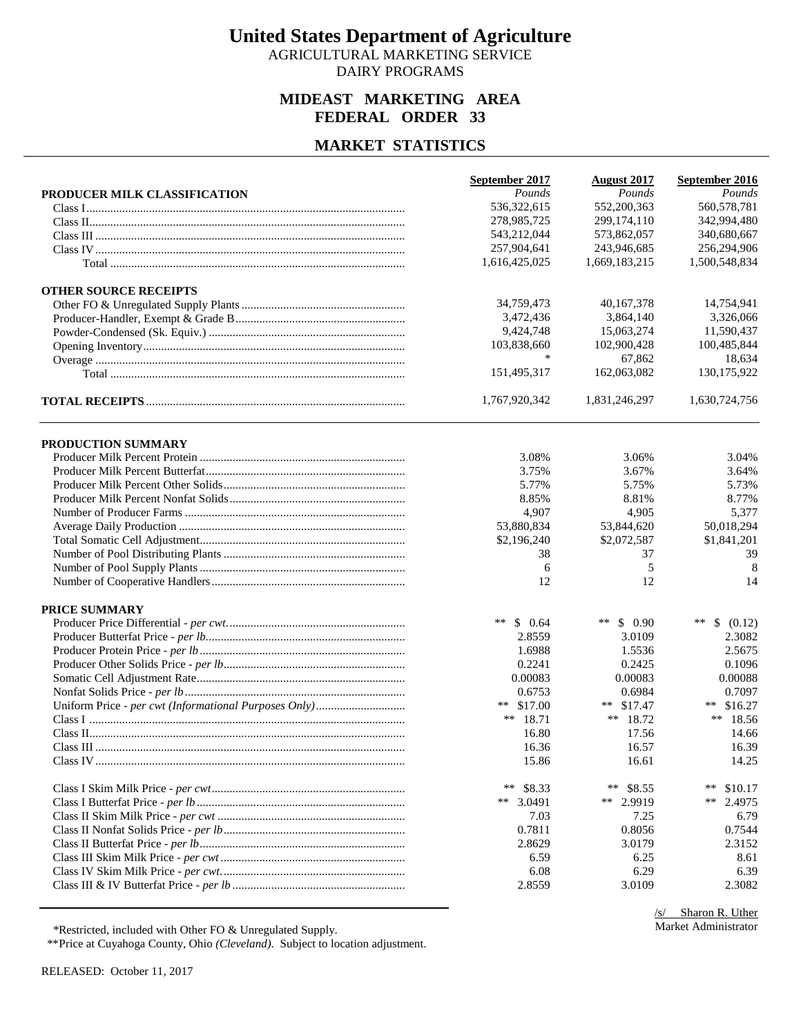AGRICULTURAL MARKETING SERVICE DAIRY PROGRAMS

### **MIDEAST MARKETING AREA FEDERAL ORDER 33**

### **MARKET STATISTICS**

|                              | September 2017 | <b>August 2017</b> | September 2016     |
|------------------------------|----------------|--------------------|--------------------|
| PRODUCER MILK CLASSIFICATION | Pounds         | Pounds             | Pounds             |
|                              | 536,322,615    | 552,200,363        | 560,578,781        |
|                              | 278,985,725    | 299, 174, 110      | 342,994,480        |
|                              | 543,212,044    | 573,862,057        | 340,680,667        |
|                              | 257,904,641    | 243,946,685        | 256,294,906        |
|                              | 1,616,425,025  | 1,669,183,215      | 1,500,548,834      |
| <b>OTHER SOURCE RECEIPTS</b> |                |                    |                    |
|                              | 34,759,473     | 40, 167, 378       | 14,754,941         |
|                              | 3,472,436      | 3.864.140          | 3,326,066          |
|                              | 9,424,748      | 15,063,274         | 11,590,437         |
|                              | 103,838,660    | 102,900,428        | 100,485,844        |
|                              | $\ast$         | 67,862             | 18,634             |
|                              | 151,495,317    | 162,063,082        | 130,175,922        |
|                              | 1,767,920,342  | 1,831,246,297      | 1,630,724,756      |
| PRODUCTION SUMMARY           |                |                    |                    |
|                              | 3.08%          | 3.06%              | 3.04%              |
|                              | 3.75%          | 3.67%              | 3.64%              |
|                              | 5.77%          | 5.75%              | 5.73%              |
|                              | 8.85%          | 8.81%              | 8.77%              |
|                              | 4,907          | 4,905              | 5,377              |
|                              | 53,880,834     | 53,844,620         | 50,018,294         |
|                              | \$2,196,240    | \$2,072,587        | \$1,841,201        |
|                              | 38             | 37                 | 39                 |
|                              | 6              | 5                  | 8                  |
|                              | 12             | 12                 | 14                 |
| <b>PRICE SUMMARY</b>         |                |                    |                    |
|                              | **<br>\$0.64   | ** $$0.90$         | $***$<br>\$ (0.12) |
|                              | 2.8559         | 3.0109             | 2.3082             |
|                              | 1.6988         | 1.5536             | 2.5675             |
|                              | 0.2241         | 0.2425             | 0.1096             |
|                              | 0.00083        | 0.00083            | 0.00088            |
|                              | 0.6753         | 0.6984             | 0.7097             |
|                              | ** $$17.00$    | ** $$17.47$        | ** $$16.27$        |
|                              | ** $18.71$     | ** $18.72$         | ** 18.56           |
|                              | 16.80          | 17.56              | 14.66              |
|                              | 16.36          | 16.57              | 16.39              |
|                              | 15.86          | 16.61              | 14.25              |
|                              | **<br>\$8.33   | **<br>\$8.55       | $***$<br>\$10.17   |
|                              | ** $3.0491$    | ** 2.9919          | **<br>2.4975       |
|                              | 7.03           | 7.25               | 6.79               |
|                              | 0.7811         | 0.8056             | 0.7544             |
|                              | 2.8629         | 3.0179             | 2.3152             |
|                              | 6.59           | 6.25               | 8.61               |
|                              | 6.08           | 6.29               | 6.39               |
|                              | 2.8559         | 3.0109             | 2.3082             |

\*Restricted, included with Other FO & Unregulated Supply.

\*\*Price at Cuyahoga County, Ohio *(Cleveland)*. Subject to location adjustment.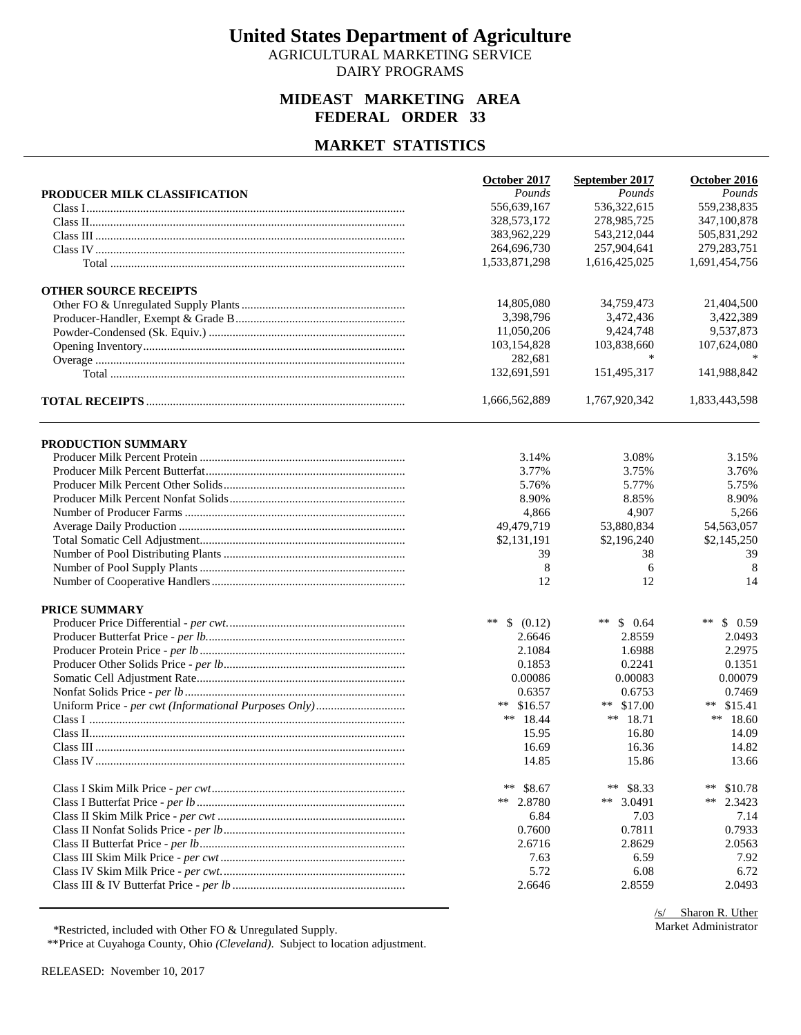AGRICULTURAL MARKETING SERVICE DAIRY PROGRAMS

### **MIDEAST MARKETING AREA FEDERAL ORDER 33**

### **MARKET STATISTICS**

|                              | October 2017    | September 2017   | October 2016     |
|------------------------------|-----------------|------------------|------------------|
| PRODUCER MILK CLASSIFICATION | Pounds          | Pounds           | Pounds           |
|                              | 556,639,167     | 536,322,615      | 559,238,835      |
|                              | 328, 573, 172   | 278,985,725      | 347,100,878      |
|                              | 383,962,229     | 543,212,044      | 505,831,292      |
|                              | 264,696,730     | 257,904,641      | 279, 283, 751    |
|                              | 1,533,871,298   | 1,616,425,025    | 1,691,454,756    |
|                              |                 |                  |                  |
| <b>OTHER SOURCE RECEIPTS</b> |                 |                  |                  |
|                              | 14,805,080      | 34,759,473       | 21,404,500       |
|                              | 3,398,796       | 3,472,436        | 3,422,389        |
|                              | 11,050,206      | 9,424,748        | 9,537,873        |
|                              | 103,154,828     | 103,838,660      | 107,624,080      |
|                              | 282,681         |                  |                  |
|                              | 132,691,591     | 151,495,317      | 141,988,842      |
|                              | 1,666,562,889   | 1,767,920,342    | 1,833,443,598    |
|                              |                 |                  |                  |
| PRODUCTION SUMMARY           | 3.14%           | 3.08%            | 3.15%            |
|                              |                 |                  |                  |
|                              | 3.77%           | 3.75%            | 3.76%            |
|                              | 5.76%           | 5.77%            | 5.75%            |
|                              | 8.90%           | 8.85%            | 8.90%            |
|                              | 4,866           | 4,907            | 5,266            |
|                              | 49,479,719      | 53,880,834       | 54,563,057       |
|                              | \$2,131,191     | \$2,196,240      | \$2,145,250      |
|                              | 39              | 38               | 39               |
|                              | 8               | 6                | 8                |
|                              | 12              | 12               | 14               |
| <b>PRICE SUMMARY</b>         |                 |                  |                  |
|                              | **<br>\$ (0.12) | $***$<br>\$0.64  | $***$<br>\$0.59  |
|                              | 2.6646          | 2.8559           | 2.0493           |
|                              | 2.1084          | 1.6988           | 2.2975           |
|                              | 0.1853          | 0.2241           | 0.1351           |
|                              | 0.00086         | 0.00083          | 0.00079          |
|                              | 0.6357          | 0.6753           | 0.7469           |
|                              | ** $$16.57$     | $***$<br>\$17.00 | ** $$15.41$      |
|                              | ** $18.44$      | ** $18.71$       | ** $18.60$       |
|                              | 15.95           | 16.80            | 14.09            |
|                              | 16.69           | 16.36            | 14.82            |
|                              | 14.85           | 15.86            | 13.66            |
|                              | $***$<br>\$8.67 | $***$<br>\$8.33  | $***$<br>\$10.78 |
|                              | ** 2.8780       | ** 3.0491        | **<br>2.3423     |
|                              | 6.84            | 7.03             | 7.14             |
|                              | 0.7600          | 0.7811           | 0.7933           |
|                              | 2.6716          | 2.8629           | 2.0563           |
|                              | 7.63            | 6.59             | 7.92             |
|                              |                 |                  |                  |
|                              | 5.72            | 6.08             | 6.72             |
|                              | 2.6646          | 2.8559           | 2.0493           |

/s/ Sharon R. Uther Market Administrator

\*Restricted, included with Other FO & Unregulated Supply.

\*\*Price at Cuyahoga County, Ohio *(Cleveland)*. Subject to location adjustment.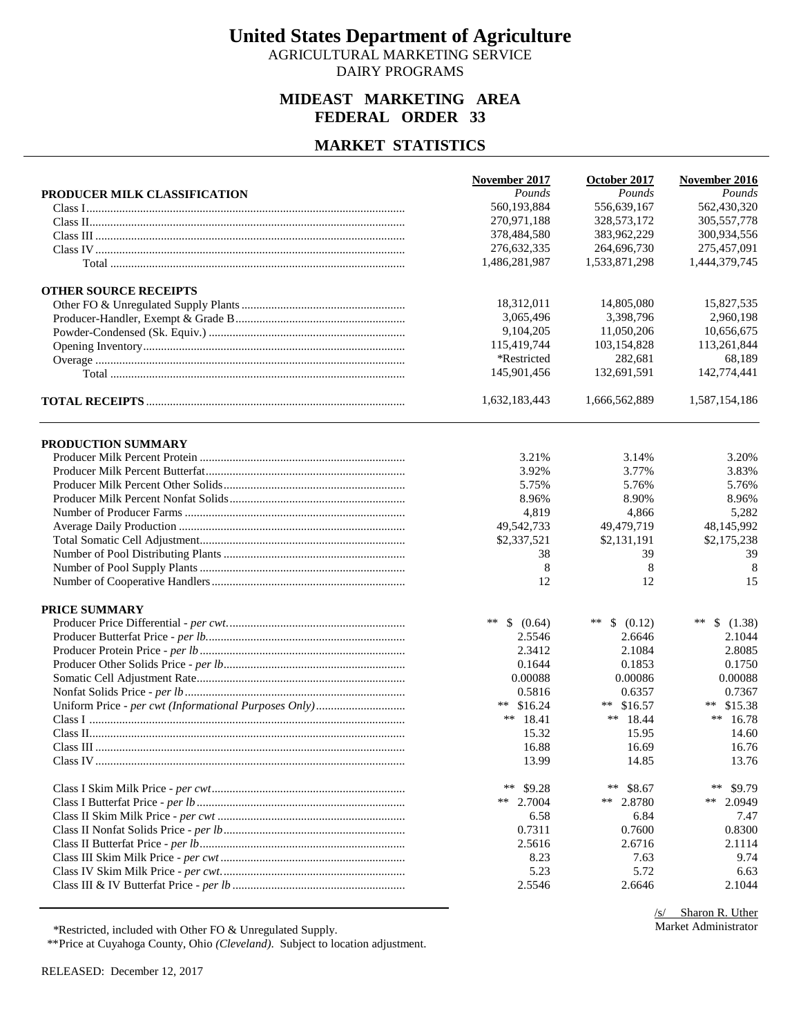AGRICULTURAL MARKETING SERVICE DAIRY PROGRAMS

### **MIDEAST MARKETING AREA FEDERAL ORDER 33**

### **MARKET STATISTICS**

|                              | November 2017   | October 2017    | November 2016   |
|------------------------------|-----------------|-----------------|-----------------|
| PRODUCER MILK CLASSIFICATION | Pounds          | Pounds          | Pounds          |
|                              | 560,193,884     | 556,639,167     | 562,430,320     |
|                              | 270,971,188     | 328,573,172     | 305,557,778     |
|                              | 378,484,580     | 383,962,229     | 300,934,556     |
|                              | 276,632,335     | 264,696,730     | 275,457,091     |
|                              | 1,486,281,987   | 1,533,871,298   | 1,444,379,745   |
| <b>OTHER SOURCE RECEIPTS</b> |                 |                 |                 |
|                              | 18,312,011      | 14,805,080      | 15,827,535      |
|                              | 3,065,496       | 3,398,796       | 2,960,198       |
|                              | 9,104,205       | 11,050,206      | 10,656,675      |
|                              | 115,419,744     | 103,154,828     | 113,261,844     |
|                              | *Restricted     | 282,681         | 68,189          |
|                              | 145,901,456     | 132,691,591     | 142,774,441     |
|                              | 1,632,183,443   | 1,666,562,889   | 1,587,154,186   |
| PRODUCTION SUMMARY           |                 |                 |                 |
|                              | 3.21%           | 3.14%           | 3.20%           |
|                              | 3.92%           | 3.77%           | 3.83%           |
|                              | 5.75%           | 5.76%           | 5.76%           |
|                              | 8.96%           | 8.90%           | 8.96%           |
|                              | 4,819           | 4,866           | 5,282           |
|                              | 49,542,733      | 49,479,719      | 48,145,992      |
|                              | \$2,337,521     | \$2,131,191     | \$2,175,238     |
|                              | 38              | 39              | 39              |
|                              | 8               | 8               | 8               |
|                              | 12              | 12              | 15              |
|                              |                 |                 |                 |
| <b>PRICE SUMMARY</b>         |                 |                 |                 |
|                              | **<br>\$ (0.64) | **<br>\$ (0.12) | **<br>\$(1.38)  |
|                              | 2.5546          | 2.6646          | 2.1044          |
|                              | 2.3412          | 2.1084          | 2.8085          |
|                              | 0.1644          | 0.1853          | 0.1750          |
|                              | 0.00088         | 0.00086         | 0.00088         |
|                              | 0.5816          | 0.6357          | 0.7367          |
|                              | ** $$16.24$     | ** $$16.57$     | ** $$15.38$     |
|                              | ** $18.41$      | ** $18.44$      | ** $16.78$      |
|                              | 15.32           | 15.95           | 14.60           |
|                              | 16.88           | 16.69           | 16.76           |
|                              | 13.99           | 14.85           | 13.76           |
|                              | **<br>\$9.28    | **<br>\$8.67    | $***$<br>\$9.79 |
|                              | ** 2.7004       | ** 2.8780       | **<br>2.0949    |
|                              | 6.58            | 6.84            | 7.47            |
|                              | 0.7311          | 0.7600          | 0.8300          |
|                              | 2.5616          | 2.6716          | 2.1114          |
|                              | 8.23            | 7.63            | 9.74            |
|                              | 5.23            | 5.72            | 6.63            |
|                              | 2.5546          | 2.6646          | 2.1044          |

/s/ Sharon R. Uther Market Administrator

\*Restricted, included with Other FO & Unregulated Supply.

\*\*Price at Cuyahoga County, Ohio *(Cleveland)*. Subject to location adjustment.